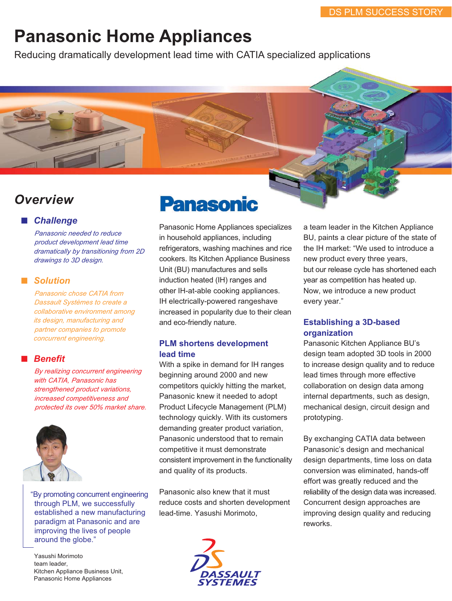# **Panasonic Home Appliances**

Reducing dramatically development lead time with CATIA specialized applications

# **Overview**

### *Overview* ■ *Challenge*

*Panasonic needed to reduce product development lead time dramatically by transitioning from 2D drawings to 3D design.*

#### ■ *Solution*

*Panasonic chose CATIA from Dassault Systèmes to create a collaborative environment among its design, manufacturing and partner companies to promote concurrent engineering.*

## ■ *Benefit*

*By realizing concurrent engineering with CATIA, Panasonic has strengthened product variations, increased competitiveness and protected its over 50% market share.*



"By promoting concurrent engineering through PLM, we successfully established a new manufacturing paradigm at Panasonic and are improving the lives of people around the globe."

Yasushi Morimoto team leader, Kitchen Appliance Business Unit, Panasonic Home Appliances



Panasonic Home Appliances specializes in household appliances, including refrigerators, washing machines and rice cookers. Its Kitchen Appliance Business Unit (BU) manufactures and sells induction heated (IH) ranges and other IH-at-able cooking appliances. IH electrically-powered rangeshave increased in popularity due to their clean and eco-friendly nature.

# **PLM shortens development lead time**

With a spike in demand for IH ranges beginning around 2000 and new competitors quickly hitting the market, Panasonic knew it needed to adopt Product Lifecycle Management (PLM) technology quickly. With its customers demanding greater product variation, Panasonic understood that to remain competitive it must demonstrate consistent improvement in the functionality and quality of its products.

Panasonic also knew that it must reduce costs and shorten development lead-time. Yasushi Morimoto,



a team leader in the Kitchen Appliance BU, paints a clear picture of the state of the IH market: "We used to introduce a new product every three years, but our release cycle has shortened each year as competition has heated up. Now, we introduce a new product every year."

#### **Establishing a 3D-based organization**

Panasonic Kitchen Appliance BU's design team adopted 3D tools in 2000 to increase design quality and to reduce lead times through more effective collaboration on design data among internal departments, such as design, mechanical design, circuit design and prototyping.

By exchanging CATIA data between Panasonic's design and mechanical design departments, time loss on data conversion was eliminated, hands-off effort was greatly reduced and the reliability of the design data was increased. Concurrent design approaches are improving design quality and reducing reworks.